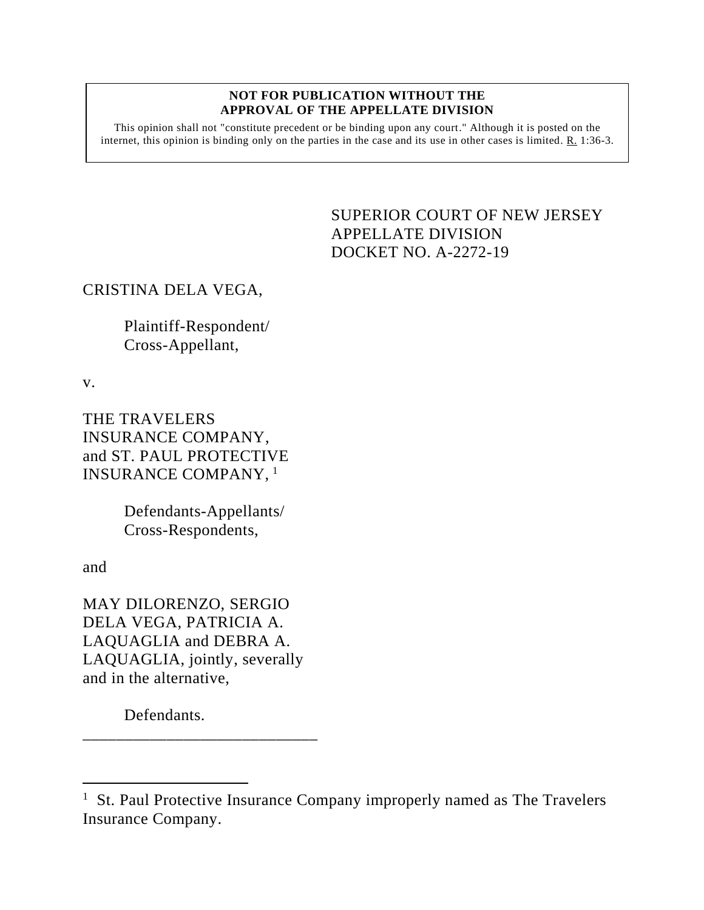## **NOT FOR PUBLICATION WITHOUT THE APPROVAL OF THE APPELLATE DIVISION**

This opinion shall not "constitute precedent or be binding upon any court." Although it is posted on the internet, this opinion is binding only on the parties in the case and its use in other cases is limited. R. 1:36-3.

## <span id="page-0-0"></span>SUPERIOR COURT OF NEW JERSEY APPELLATE DIVISION DOCKET NO. A-2272-19

## CRISTINA DELA VEGA,

Plaintiff-Respondent/ Cross-Appellant,

v.

THE TRAVELERS INSURANCE COMPANY, and ST. PAUL PROTECTIVE INSURANCE COMPANY, <sup>1</sup>

> Defendants-Appellants/ Cross-Respondents,

and

MAY DILORENZO, SERGIO DELA VEGA, PATRICIA A. LAQUAGLIA and DEBRA A. LAQUAGLIA, jointly, severally and in the alternative,

\_\_\_\_\_\_\_\_\_\_\_\_\_\_\_\_\_\_\_\_\_\_\_\_\_\_\_\_

Defendants.

<sup>&</sup>lt;sup>1</sup> St. Paul Protective Insurance Company improperly named as The Travelers Insurance Company.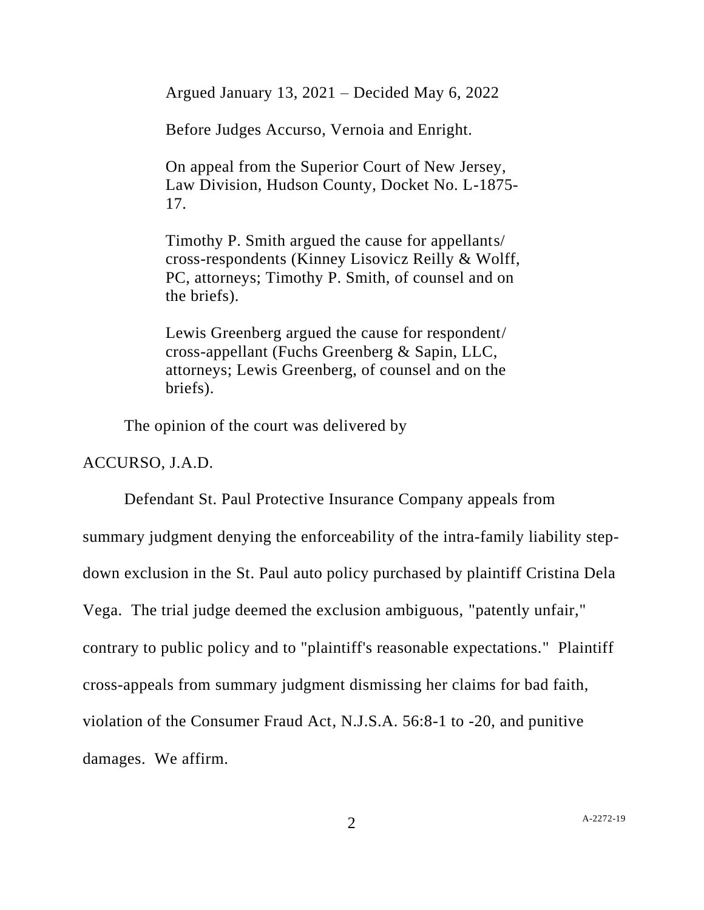Argued January 13, 2021 – Decided May 6, 2022

Before Judges Accurso, Vernoia and Enright.

On appeal from the Superior Court of New Jersey, Law Division, Hudson County, Docket No. L-1875- 17.

Timothy P. Smith argued the cause for appellants/ cross-respondents (Kinney Lisovicz Reilly & Wolff, PC, attorneys; Timothy P. Smith, of counsel and on the briefs).

Lewis Greenberg argued the cause for respondent/ cross-appellant (Fuchs Greenberg & Sapin, LLC, attorneys; Lewis Greenberg, of counsel and on the briefs).

The opinion of the court was delivered by

ACCURSO, J.A.D.

Defendant St. Paul Protective Insurance Company appeals from summary judgment denying the enforceability of the intra-family liability stepdown exclusion in the St. Paul auto policy purchased by plaintiff Cristina Dela Vega. The trial judge deemed the exclusion ambiguous, "patently unfair," contrary to public policy and to "plaintiff's reasonable expectations." Plaintiff cross-appeals from summary judgment dismissing her claims for bad faith, violation of the Consumer Fraud Act, N.J.S.A. 56:8-1 to -20, and punitive damages. We affirm.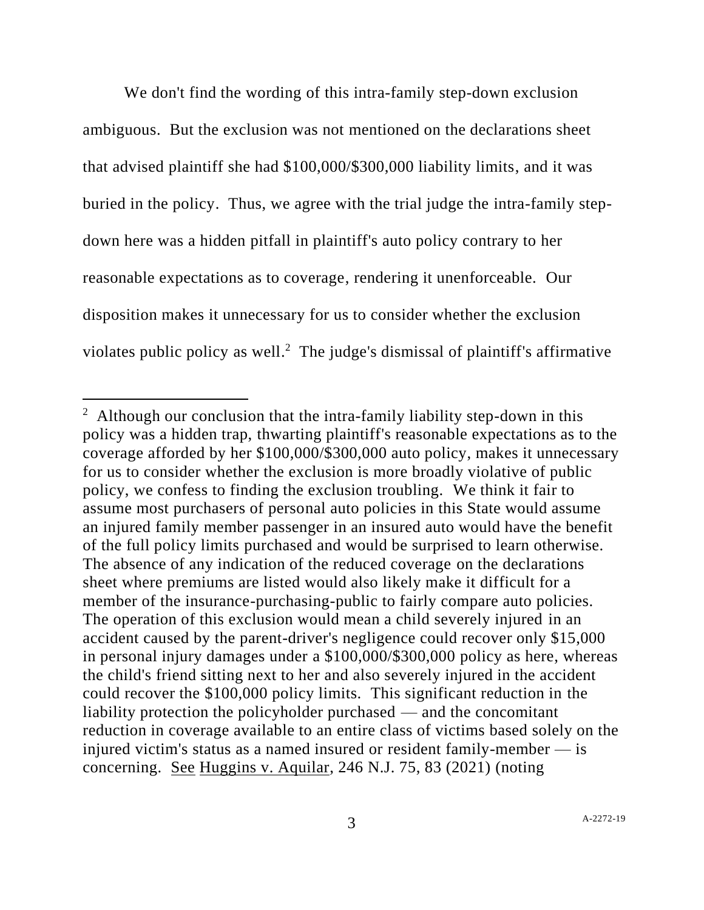We don't find the wording of this intra-family step-down exclusion ambiguous. But the exclusion was not mentioned on the declarations sheet that advised plaintiff she had \$100,000/\$300,000 liability limits, and it was buried in the policy. Thus, we agree with the trial judge the intra-family stepdown here was a hidden pitfall in plaintiff's auto policy contrary to her reasonable expectations as to coverage, rendering it unenforceable. Our disposition makes it unnecessary for us to consider whether the exclusion violates public policy as well. <sup>2</sup> The judge's dismissal of plaintiff's affirmative

 $2$  Although our conclusion that the intra-family liability step-down in this policy was a hidden trap, thwarting plaintiff's reasonable expectations as to the coverage afforded by her \$100,000/\$300,000 auto policy, makes it unnecessary for us to consider whether the exclusion is more broadly violative of public policy, we confess to finding the exclusion troubling. We think it fair to assume most purchasers of personal auto policies in this State would assume an injured family member passenger in an insured auto would have the benefit of the full policy limits purchased and would be surprised to learn otherwise. The absence of any indication of the reduced coverage on the declarations sheet where premiums are listed would also likely make it difficult for a member of the insurance-purchasing-public to fairly compare auto policies. The operation of this exclusion would mean a child severely injured in an accident caused by the parent-driver's negligence could recover only \$15,000 in personal injury damages under a \$100,000/\$300,000 policy as here, whereas the child's friend sitting next to her and also severely injured in the accident could recover the \$100,000 policy limits. This significant reduction in the liability protection the policyholder purchased — and the concomitant reduction in coverage available to an entire class of victims based solely on the injured victim's status as a named insured or resident family-member — is concerning. See Huggins v. Aquilar, 246 N.J. 75, 83 (2021) (noting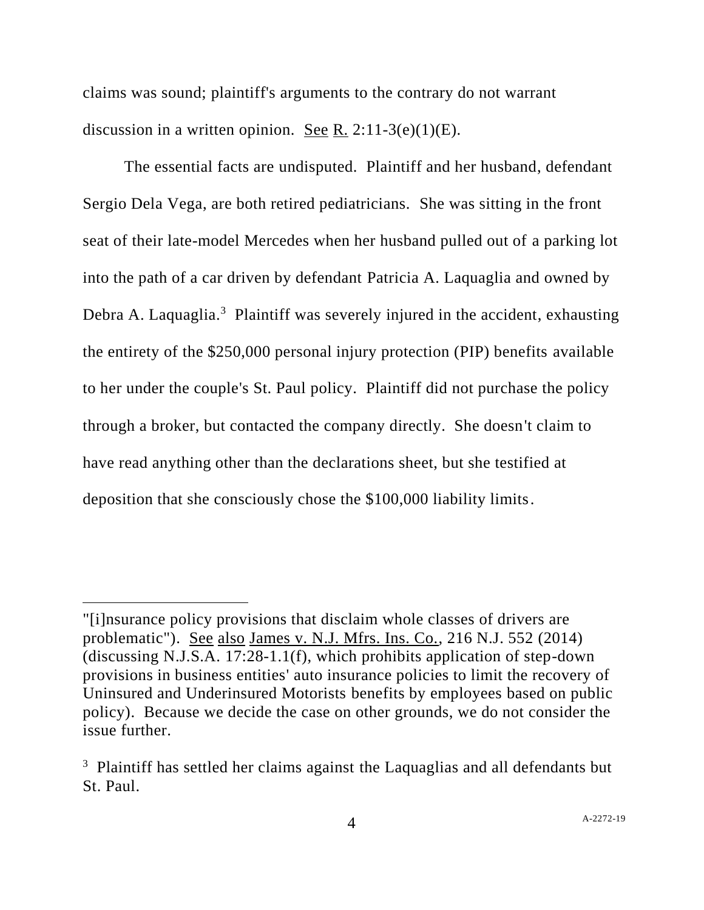claims was sound; plaintiff's arguments to the contrary do not warrant discussion in a written opinion. See R.  $2:11-3(e)(1)(E)$ .

The essential facts are undisputed. Plaintiff and her husband, defendant Sergio Dela Vega, are both retired pediatricians. She was sitting in the front seat of their late-model Mercedes when her husband pulled out of a parking lot into the path of a car driven by defendant Patricia A. Laquaglia and owned by Debra A. Laquaglia.<sup>3</sup> Plaintiff was severely injured in the accident, exhausting the entirety of the \$250,000 personal injury protection (PIP) benefits available to her under the couple's St. Paul policy. Plaintiff did not purchase the policy through a broker, but contacted the company directly. She doesn't claim to have read anything other than the declarations sheet, but she testified at deposition that she consciously chose the \$100,000 liability limits.

<sup>&</sup>quot;[i]nsurance policy provisions that disclaim whole classes of drivers are problematic"). See also James v. N.J. Mfrs. Ins. Co., 216 N.J. 552 (2014) (discussing N.J.S.A. 17:28-1.1(f), which prohibits application of step-down provisions in business entities' auto insurance policies to limit the recovery of Uninsured and Underinsured Motorists benefits by employees based on public policy). Because we decide the case on other grounds, we do not consider the issue further.

<sup>&</sup>lt;sup>3</sup> Plaintiff has settled her claims against the Laquaglias and all defendants but St. Paul.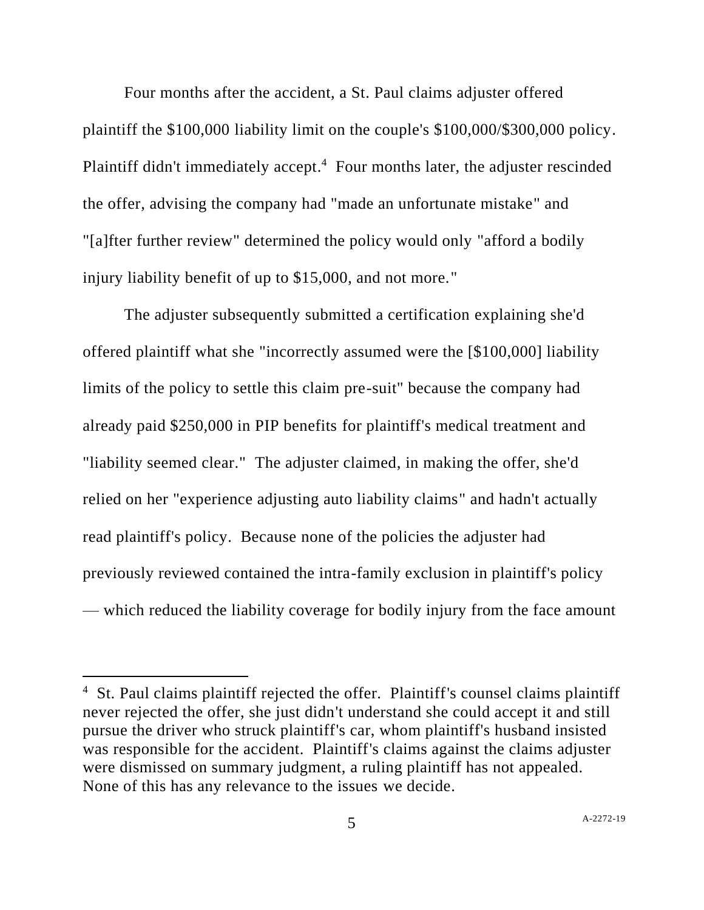Four months after the accident, a St. Paul claims adjuster offered plaintiff the \$100,000 liability limit on the couple's \$100,000/\$300,000 policy. Plaintiff didn't immediately accept.<sup>4</sup> Four months later, the adjuster rescinded the offer, advising the company had "made an unfortunate mistake" and "[a]fter further review" determined the policy would only "afford a bodily injury liability benefit of up to \$15,000, and not more."

The adjuster subsequently submitted a certification explaining she'd offered plaintiff what she "incorrectly assumed were the [\$100,000] liability limits of the policy to settle this claim pre-suit" because the company had already paid \$250,000 in PIP benefits for plaintiff's medical treatment and "liability seemed clear." The adjuster claimed, in making the offer, she'd relied on her "experience adjusting auto liability claims" and hadn't actually read plaintiff's policy. Because none of the policies the adjuster had previously reviewed contained the intra-family exclusion in plaintiff's policy — which reduced the liability coverage for bodily injury from the face amount

<sup>&</sup>lt;sup>4</sup> St. Paul claims plaintiff rejected the offer. Plaintiff's counsel claims plaintiff never rejected the offer, she just didn't understand she could accept it and still pursue the driver who struck plaintiff's car, whom plaintiff's husband insisted was responsible for the accident. Plaintiff's claims against the claims adjuster were dismissed on summary judgment, a ruling plaintiff has not appealed. None of this has any relevance to the issues we decide.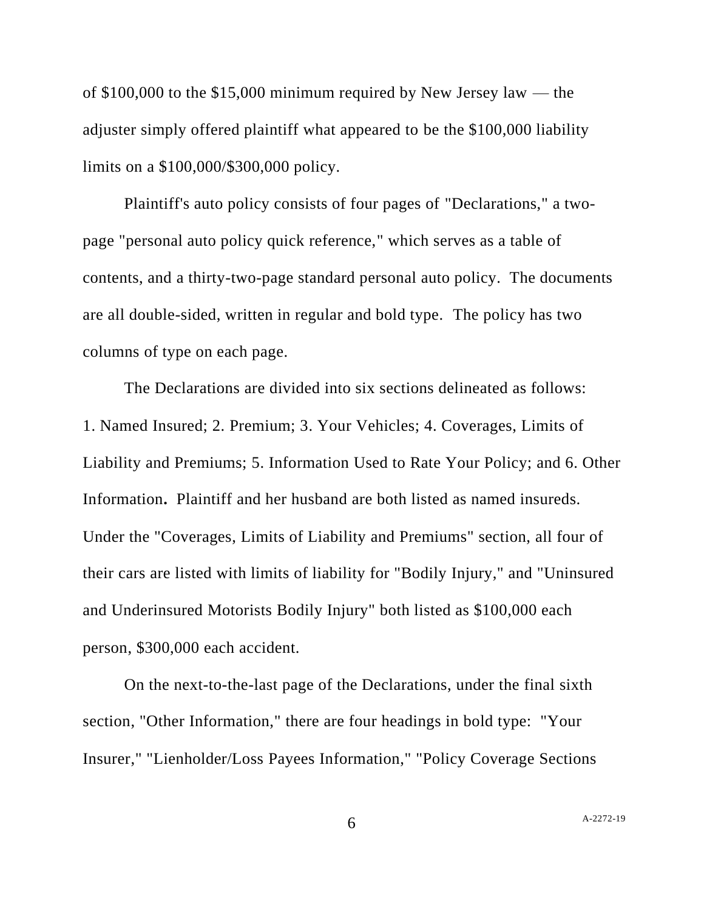of \$100,000 to the \$15,000 minimum required by New Jersey law — the adjuster simply offered plaintiff what appeared to be the \$100,000 liability limits on a \$100,000/\$300,000 policy.

Plaintiff's auto policy consists of four pages of "Declarations," a twopage "personal auto policy quick reference," which serves as a table of contents, and a thirty-two-page standard personal auto policy. The documents are all double-sided, written in regular and bold type. The policy has two columns of type on each page.

The Declarations are divided into six sections delineated as follows: 1. Named Insured; 2. Premium; 3. Your Vehicles; 4. Coverages, Limits of Liability and Premiums; 5. Information Used to Rate Your Policy; and 6. Other Information**.** Plaintiff and her husband are both listed as named insureds. Under the "Coverages, Limits of Liability and Premiums" section, all four of their cars are listed with limits of liability for "Bodily Injury," and "Uninsured and Underinsured Motorists Bodily Injury" both listed as \$100,000 each person, \$300,000 each accident.

On the next-to-the-last page of the Declarations, under the final sixth section, "Other Information," there are four headings in bold type: "Your Insurer," "Lienholder/Loss Payees Information," "Policy Coverage Sections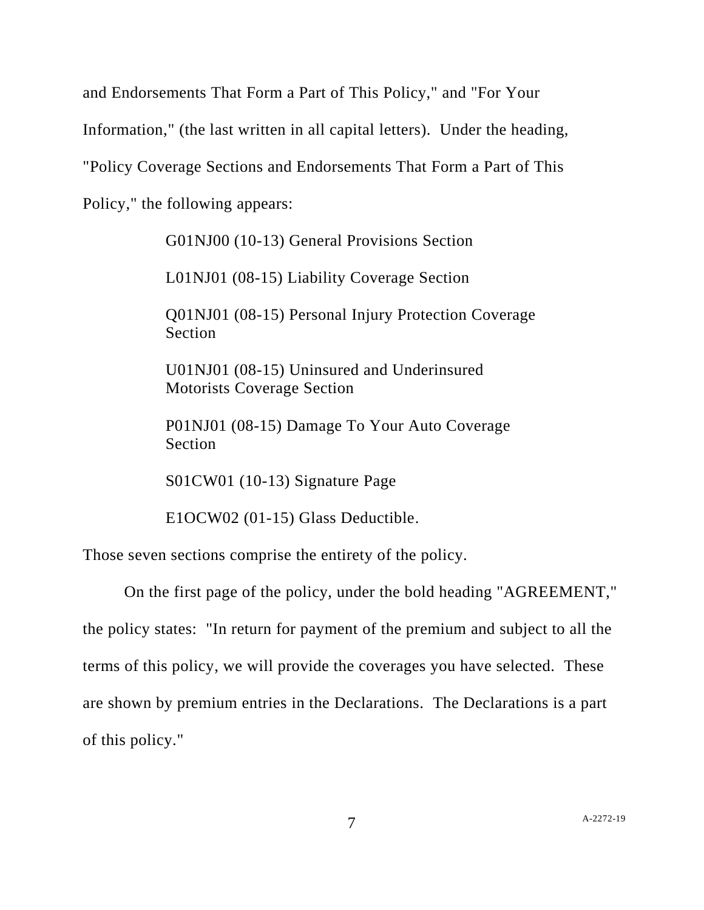and Endorsements That Form a Part of This Policy," and "For Your

Information," (the last written in all capital letters). Under the heading,

"Policy Coverage Sections and Endorsements That Form a Part of This

Policy," the following appears:

G01NJ00 (10-13) General Provisions Section

L01NJ01 (08-15) Liability Coverage Section

Q01NJ01 (08-15) Personal Injury Protection Coverage Section

U01NJ01 (08-15) Uninsured and Underinsured Motorists Coverage Section

P01NJ01 (08-15) Damage To Your Auto Coverage Section

S01CW01 (10-13) Signature Page

E1OCW02 (01-15) Glass Deductible.

Those seven sections comprise the entirety of the policy.

On the first page of the policy, under the bold heading "AGREEMENT," the policy states: "In return for payment of the premium and subject to all the terms of this policy, we will provide the coverages you have selected. These are shown by premium entries in the Declarations. The Declarations is a part of this policy."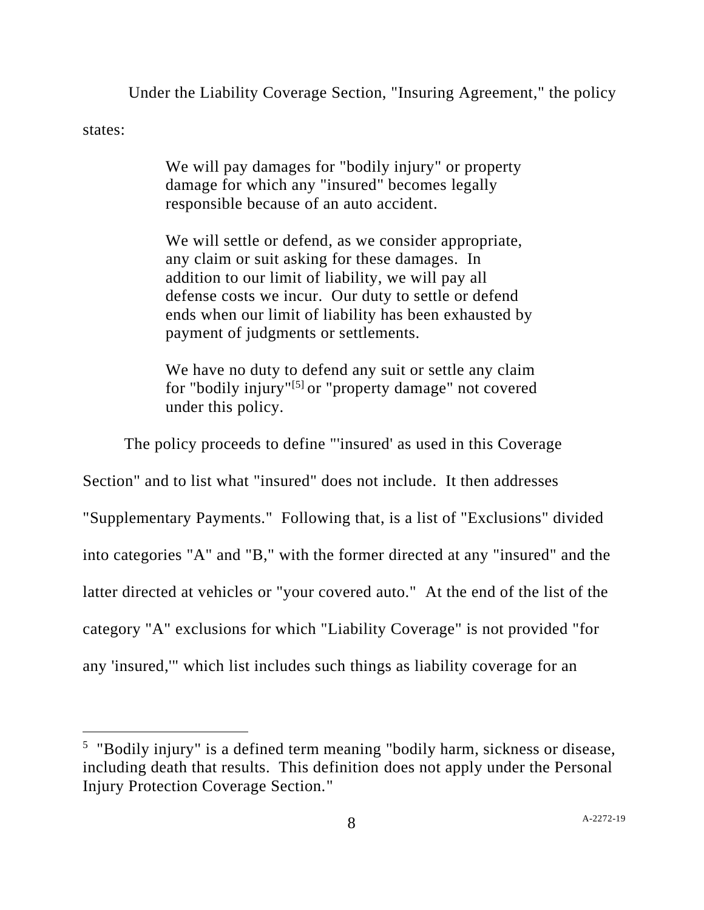Under the Liability Coverage Section, "Insuring Agreement," the policy

states:

We will pay damages for "bodily injury" or property damage for which any "insured" becomes legally responsible because of an auto accident.

We will settle or defend, as we consider appropriate, any claim or suit asking for these damages. In addition to our limit of liability, we will pay all defense costs we incur. Our duty to settle or defend ends when our limit of liability has been exhausted by payment of judgments or settlements.

We have no duty to defend any suit or settle any claim for "bodily injury"<sup>[5]</sup> or "property damage" not covered under this policy.

The policy proceeds to define "'insured' as used in this Coverage Section" and to list what "insured" does not include. It then addresses "Supplementary Payments." Following that, is a list of "Exclusions" divided into categories "A" and "B," with the former directed at any "insured" and the latter directed at vehicles or "your covered auto." At the end of the list of the category "A" exclusions for which "Liability Coverage" is not provided "for any 'insured,'" which list includes such things as liability coverage for an

<sup>&</sup>lt;sup>5</sup> "Bodily injury" is a defined term meaning "bodily harm, sickness or disease, including death that results. This definition does not apply under the Personal Injury Protection Coverage Section."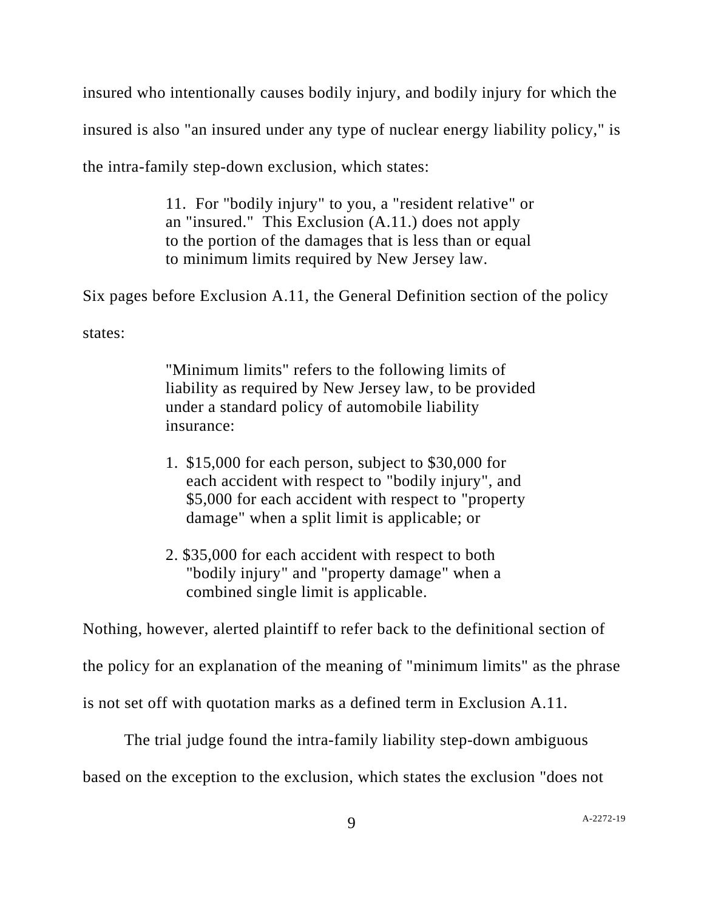insured who intentionally causes bodily injury, and bodily injury for which the

insured is also "an insured under any type of nuclear energy liability policy," is

the intra-family step-down exclusion, which states:

11. For "bodily injury" to you, a "resident relative" or an "insured." This Exclusion (A.11.) does not apply to the portion of the damages that is less than or equal to minimum limits required by New Jersey law.

Six pages before Exclusion A.11, the General Definition section of the policy

states:

"Minimum limits" refers to the following limits of liability as required by New Jersey law, to be provided under a standard policy of automobile liability insurance:

- 1. \$15,000 for each person, subject to \$30,000 for each accident with respect to "bodily injury", and \$5,000 for each accident with respect to "property damage" when a split limit is applicable; or
- 2. \$35,000 for each accident with respect to both "bodily injury" and "property damage" when a combined single limit is applicable.

Nothing, however, alerted plaintiff to refer back to the definitional section of

the policy for an explanation of the meaning of "minimum limits" as the phrase

is not set off with quotation marks as a defined term in Exclusion A.11.

The trial judge found the intra-family liability step-down ambiguous

based on the exception to the exclusion, which states the exclusion "does not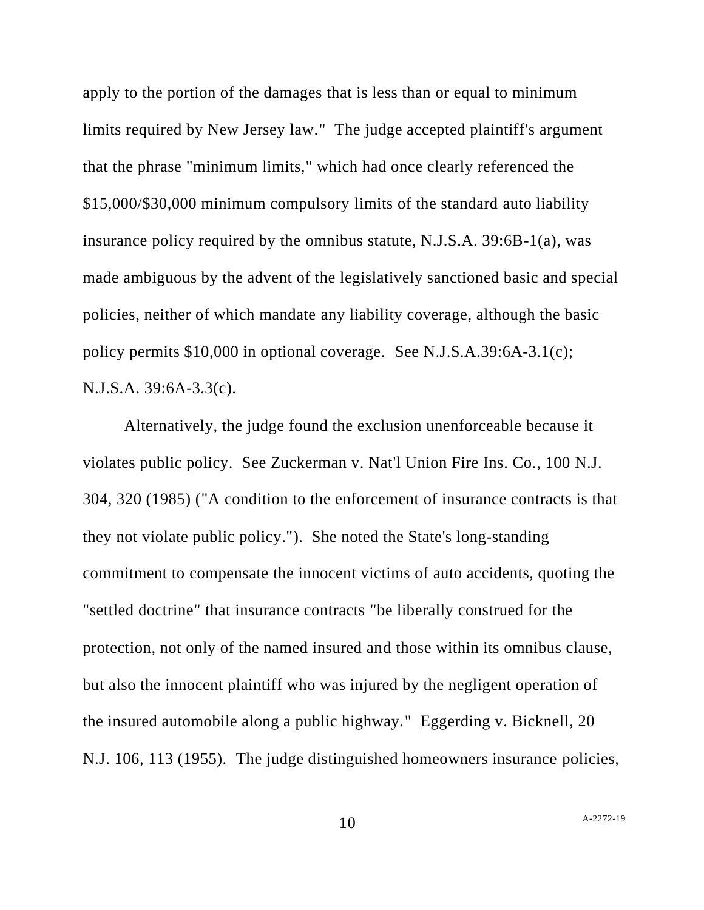apply to the portion of the damages that is less than or equal to minimum limits required by New Jersey law." The judge accepted plaintiff's argument that the phrase "minimum limits," which had once clearly referenced the \$15,000/\$30,000 minimum compulsory limits of the standard auto liability insurance policy required by the omnibus statute, N.J.S.A. 39:6B-1(a), was made ambiguous by the advent of the legislatively sanctioned basic and special policies, neither of which mandate any liability coverage, although the basic policy permits \$10,000 in optional coverage. See N.J.S.A.39:6A-3.1(c); N.J.S.A. 39:6A-3.3(c).

Alternatively, the judge found the exclusion unenforceable because it violates public policy. See Zuckerman v. Nat'l Union Fire Ins. Co., 100 N.J. 304, 320 (1985) ("A condition to the enforcement of insurance contracts is that they not violate public policy."). She noted the State's long-standing commitment to compensate the innocent victims of auto accidents, quoting the "settled doctrine" that insurance contracts "be liberally construed for the protection, not only of the named insured and those within its omnibus clause, but also the innocent plaintiff who was injured by the negligent operation of the insured automobile along a public highway." Eggerding v. Bicknell, 20 N.J. 106, 113 (1955). The judge distinguished homeowners insurance policies,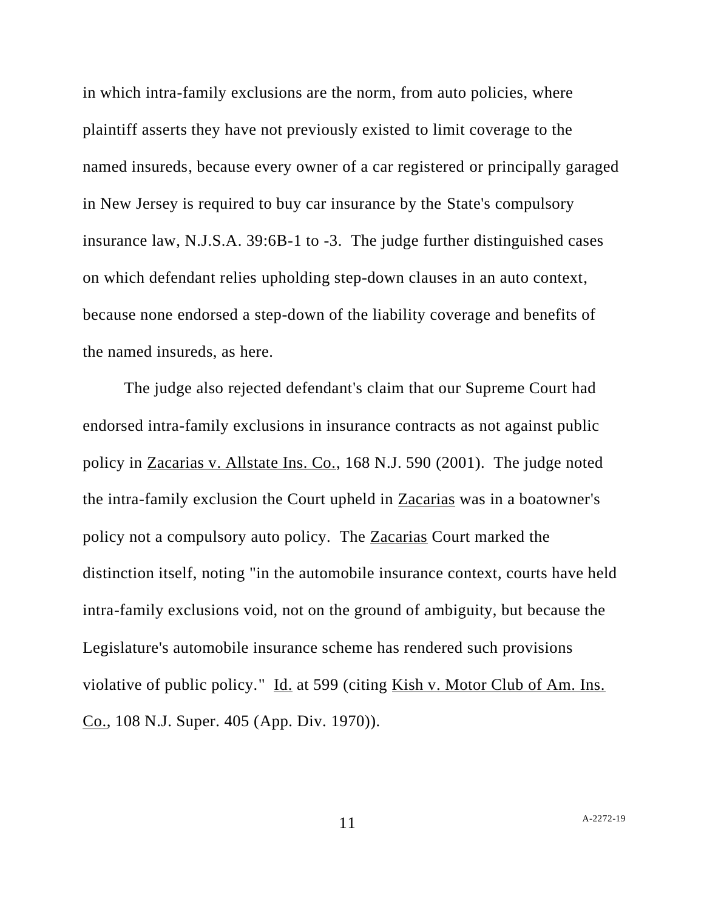in which intra-family exclusions are the norm, from auto policies, where plaintiff asserts they have not previously existed to limit coverage to the named insureds, because every owner of a car registered or principally garaged in New Jersey is required to buy car insurance by the State's compulsory insurance law, N.J.S.A. 39:6B-1 to -3. The judge further distinguished cases on which defendant relies upholding step-down clauses in an auto context, because none endorsed a step-down of the liability coverage and benefits of the named insureds, as here.

The judge also rejected defendant's claim that our Supreme Court had endorsed intra-family exclusions in insurance contracts as not against public policy in Zacarias v. Allstate Ins. Co., 168 N.J. 590 (2001). The judge noted the intra-family exclusion the Court upheld in Zacarias was in a boatowner's policy not a compulsory auto policy. The Zacarias Court marked the distinction itself, noting "in the automobile insurance context, courts have held intra-family exclusions void, not on the ground of ambiguity, but because the Legislature's automobile insurance scheme has rendered such provisions violative of public policy." Id. at 599 (citing Kish v. Motor Club of Am. Ins. Co., 108 N.J. Super. 405 (App. Div. 1970)).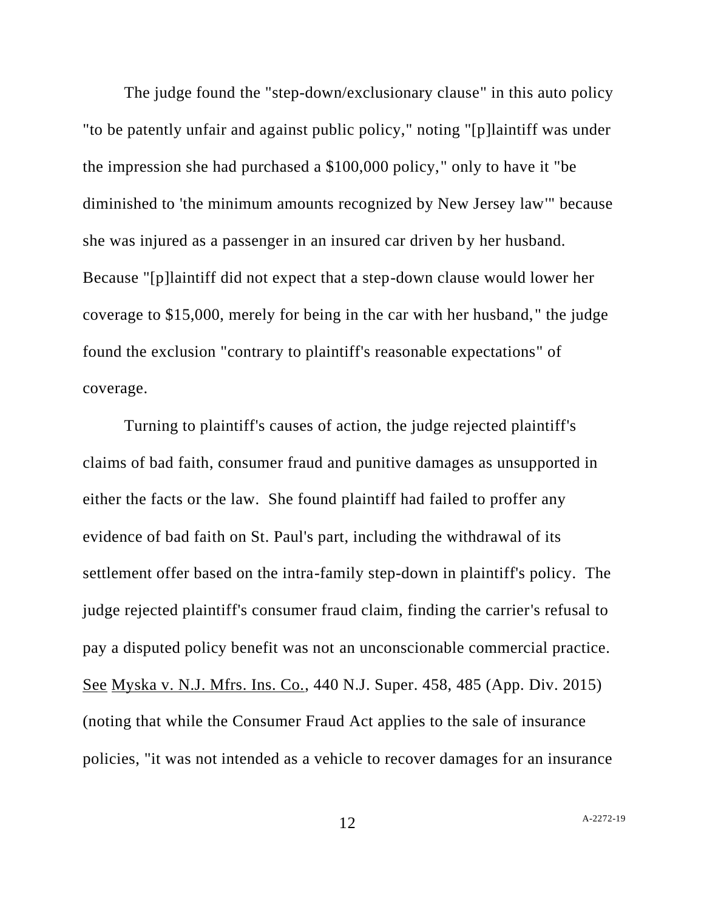The judge found the "step-down/exclusionary clause" in this auto policy "to be patently unfair and against public policy," noting "[p]laintiff was under the impression she had purchased a \$100,000 policy," only to have it "be diminished to 'the minimum amounts recognized by New Jersey law'" because she was injured as a passenger in an insured car driven by her husband. Because "[p]laintiff did not expect that a step-down clause would lower her coverage to \$15,000, merely for being in the car with her husband," the judge found the exclusion "contrary to plaintiff's reasonable expectations" of coverage.

Turning to plaintiff's causes of action, the judge rejected plaintiff's claims of bad faith, consumer fraud and punitive damages as unsupported in either the facts or the law. She found plaintiff had failed to proffer any evidence of bad faith on St. Paul's part, including the withdrawal of its settlement offer based on the intra-family step-down in plaintiff's policy. The judge rejected plaintiff's consumer fraud claim, finding the carrier's refusal to pay a disputed policy benefit was not an unconscionable commercial practice. See Myska v. N.J. Mfrs. Ins. Co., 440 N.J. Super. 458, 485 (App. Div. 2015) (noting that while the Consumer Fraud Act applies to the sale of insurance policies, "it was not intended as a vehicle to recover damages for an insurance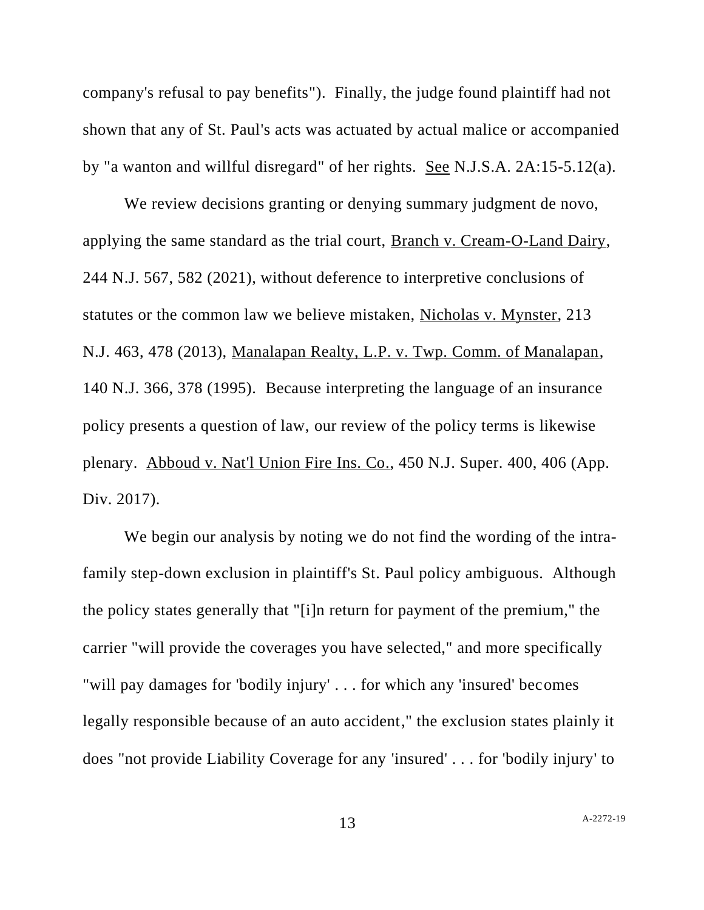company's refusal to pay benefits"). Finally, the judge found plaintiff had not shown that any of St. Paul's acts was actuated by actual malice or accompanied by "a wanton and willful disregard" of her rights. See N.J.S.A. 2A:15-5.12(a).

We review decisions granting or denying summary judgment de novo, applying the same standard as the trial court, Branch v. Cream-O-Land Dairy, 244 N.J. 567, 582 (2021), without deference to interpretive conclusions of statutes or the common law we believe mistaken, Nicholas v. Mynster, 213 N.J. 463, 478 (2013), Manalapan Realty, L.P. v. Twp. Comm. of Manalapan, 140 N.J. 366, 378 (1995). Because interpreting the language of an insurance policy presents a question of law, our review of the policy terms is likewise plenary. Abboud v. Nat'l Union Fire Ins. Co., 450 N.J. Super. 400, 406 (App. Div. 2017).

We begin our analysis by noting we do not find the wording of the intrafamily step-down exclusion in plaintiff's St. Paul policy ambiguous. Although the policy states generally that "[i]n return for payment of the premium," the carrier "will provide the coverages you have selected," and more specifically "will pay damages for 'bodily injury' . . . for which any 'insured' becomes legally responsible because of an auto accident," the exclusion states plainly it does "not provide Liability Coverage for any 'insured' . . . for 'bodily injury' to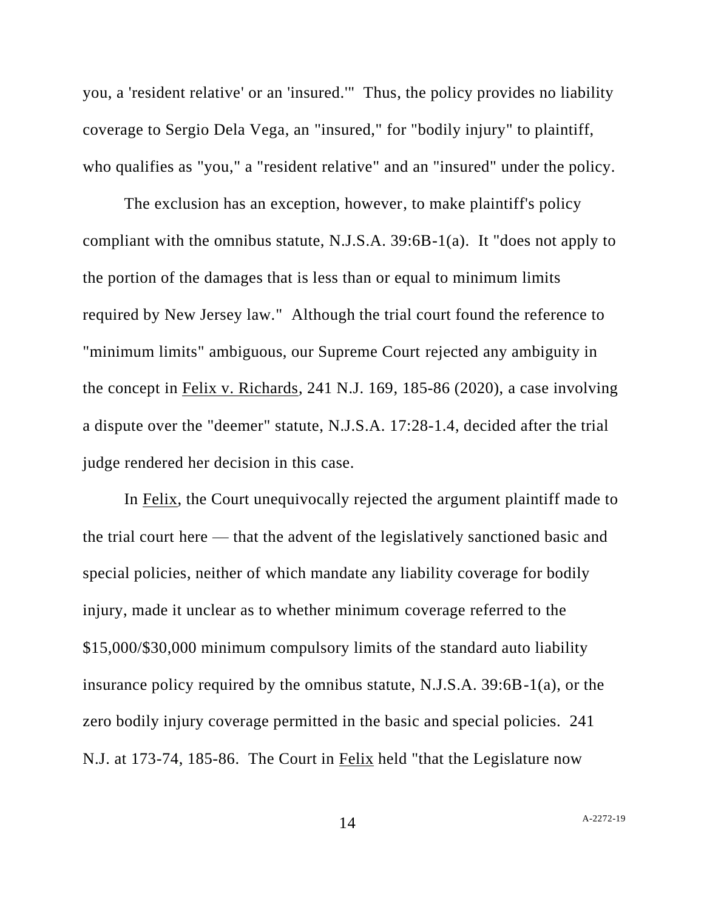you, a 'resident relative' or an 'insured.'" Thus, the policy provides no liability coverage to Sergio Dela Vega, an "insured," for "bodily injury" to plaintiff, who qualifies as "you," a "resident relative" and an "insured" under the policy.

The exclusion has an exception, however, to make plaintiff's policy compliant with the omnibus statute, N.J.S.A. 39:6B-1(a). It "does not apply to the portion of the damages that is less than or equal to minimum limits required by New Jersey law." Although the trial court found the reference to "minimum limits" ambiguous, our Supreme Court rejected any ambiguity in the concept in Felix v. Richards, 241 N.J. 169, 185-86 (2020), a case involving a dispute over the "deemer" statute, N.J.S.A. 17:28-1.4, decided after the trial judge rendered her decision in this case.

In Felix, the Court unequivocally rejected the argument plaintiff made to the trial court here — that the advent of the legislatively sanctioned basic and special policies, neither of which mandate any liability coverage for bodily injury, made it unclear as to whether minimum coverage referred to the \$15,000/\$30,000 minimum compulsory limits of the standard auto liability insurance policy required by the omnibus statute, N.J.S.A. 39:6B-1(a), or the zero bodily injury coverage permitted in the basic and special policies. 241 N.J. at 173-74, 185-86. The Court in Felix held "that the Legislature now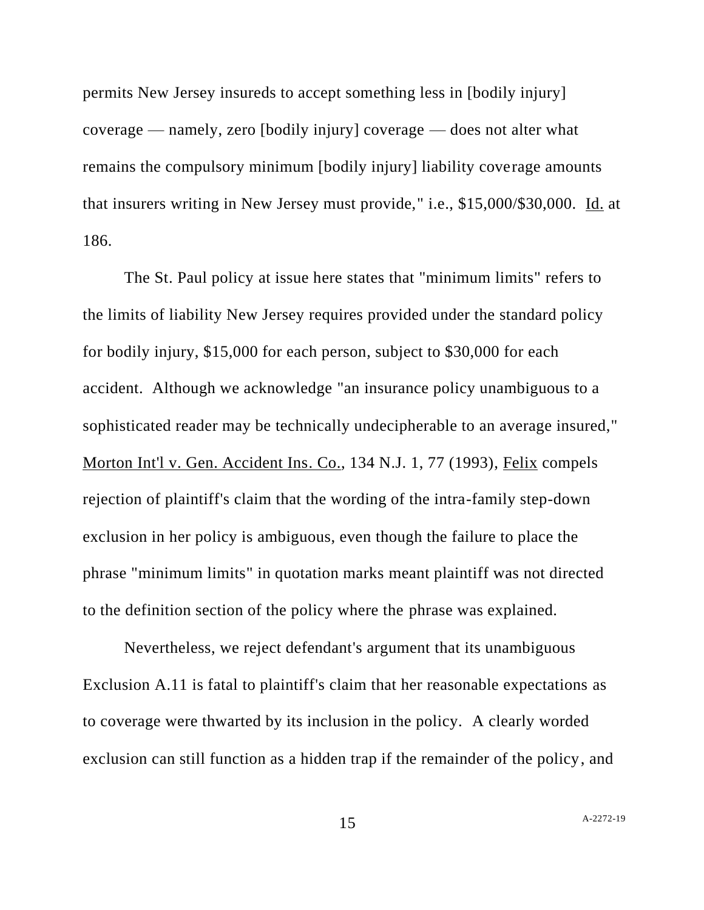permits New Jersey insureds to accept something less in [bodily injury] coverage — namely, zero [bodily injury] coverage — does not alter what remains the compulsory minimum [bodily injury] liability coverage amounts that insurers writing in New Jersey must provide," i.e., \$15,000/\$30,000. Id. at 186.

The St. Paul policy at issue here states that "minimum limits" refers to the limits of liability New Jersey requires provided under the standard policy for bodily injury, \$15,000 for each person, subject to \$30,000 for each accident. Although we acknowledge "an insurance policy unambiguous to a sophisticated reader may be technically undecipherable to an average insured," Morton Int'l v. Gen. Accident Ins. Co., 134 N.J. 1, 77 (1993), Felix compels rejection of plaintiff's claim that the wording of the intra-family step-down exclusion in her policy is ambiguous, even though the failure to place the phrase "minimum limits" in quotation marks meant plaintiff was not directed to the definition section of the policy where the phrase was explained.

Nevertheless, we reject defendant's argument that its unambiguous Exclusion A.11 is fatal to plaintiff's claim that her reasonable expectations as to coverage were thwarted by its inclusion in the policy. A clearly worded exclusion can still function as a hidden trap if the remainder of the policy, and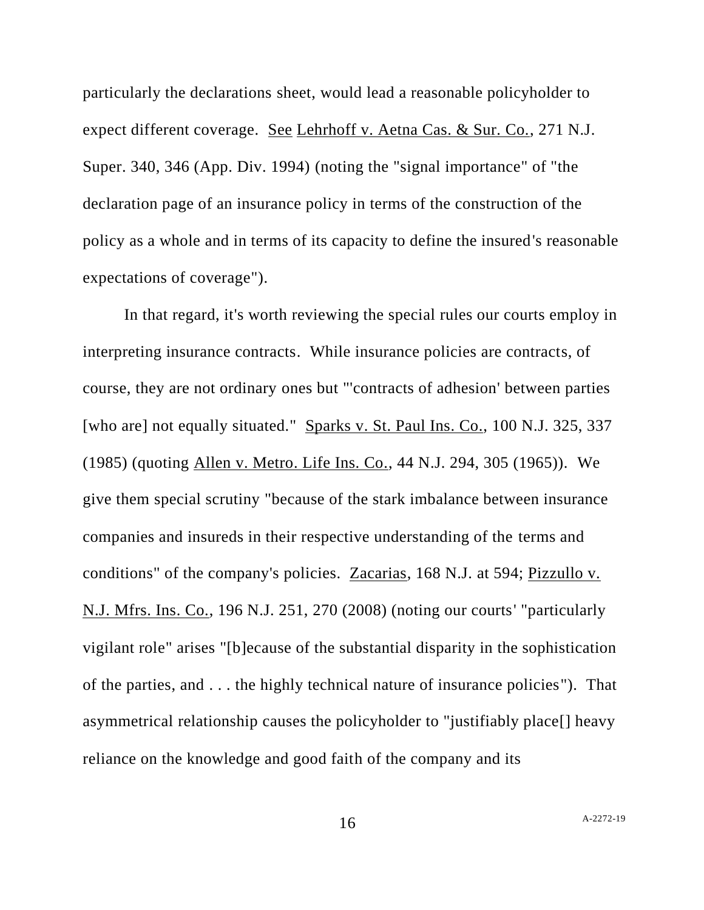particularly the declarations sheet, would lead a reasonable policyholder to expect different coverage. See Lehrhoff v. Aetna Cas. & Sur. Co., 271 N.J. Super. 340, 346 (App. Div. 1994) (noting the "signal importance" of "the declaration page of an insurance policy in terms of the construction of the policy as a whole and in terms of its capacity to define the insured's reasonable expectations of coverage").

In that regard, it's worth reviewing the special rules our courts employ in interpreting insurance contracts. While insurance policies are contracts, of course, they are not ordinary ones but "'contracts of adhesion' between parties [who are] not equally situated." Sparks v. St. Paul Ins. Co., 100 N.J. 325, 337 (1985) (quoting Allen v. Metro. Life Ins. Co., 44 N.J. 294, 305 (1965)). We give them special scrutiny "because of the stark imbalance between insurance companies and insureds in their respective understanding of the terms and conditions" of the company's policies. Zacarias, 168 N.J. at 594; Pizzullo v. N.J. Mfrs. Ins. Co., 196 N.J. 251, 270 (2008) (noting our courts' "particularly vigilant role" arises "[b]ecause of the substantial disparity in the sophistication of the parties, and . . . the highly technical nature of insurance policies"). That asymmetrical relationship causes the policyholder to "justifiably place[] heavy reliance on the knowledge and good faith of the company and its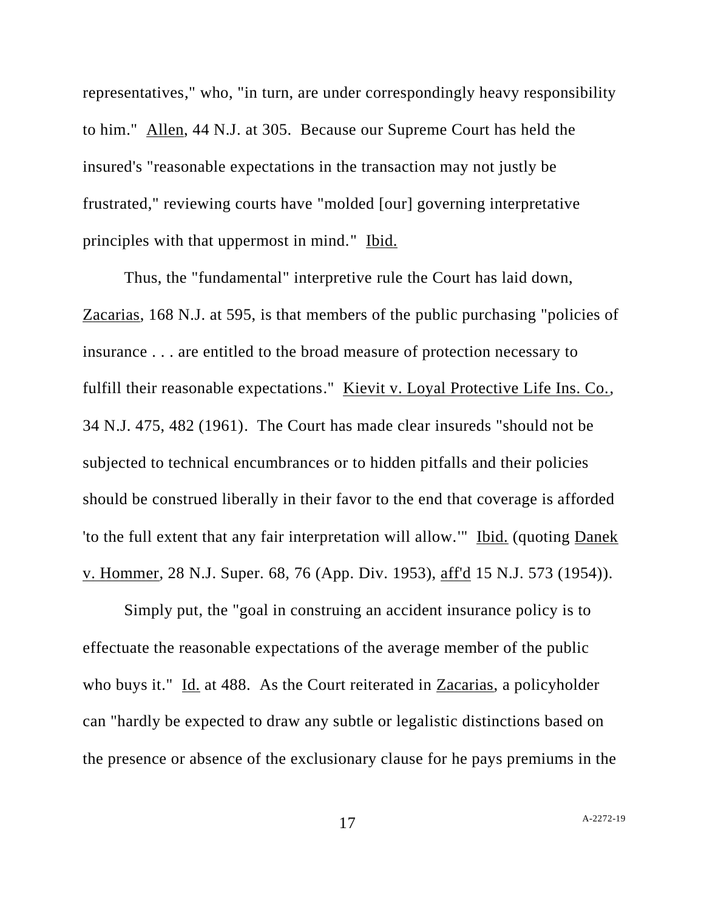representatives," who, "in turn, are under correspondingly heavy responsibility to him." Allen, 44 N.J. at 305. Because our Supreme Court has held the insured's "reasonable expectations in the transaction may not justly be frustrated," reviewing courts have "molded [our] governing interpretative principles with that uppermost in mind." Ibid.

Thus, the "fundamental" interpretive rule the Court has laid down, Zacarias, 168 N.J. at 595, is that members of the public purchasing "policies of insurance . . . are entitled to the broad measure of protection necessary to fulfill their reasonable expectations." Kievit v. Loyal Protective Life Ins. Co., 34 N.J. 475, 482 (1961). The Court has made clear insureds "should not be subjected to technical encumbrances or to hidden pitfalls and their policies should be construed liberally in their favor to the end that coverage is afforded 'to the full extent that any fair interpretation will allow.'" Ibid. (quoting Danek v. Hommer, 28 N.J. Super. 68, 76 (App. Div. 1953), aff'd 15 N.J. 573 (1954)).

Simply put, the "goal in construing an accident insurance policy is to effectuate the reasonable expectations of the average member of the public who buys it." Id. at 488. As the Court reiterated in Zacarias, a policyholder can "hardly be expected to draw any subtle or legalistic distinctions based on the presence or absence of the exclusionary clause for he pays premiums in the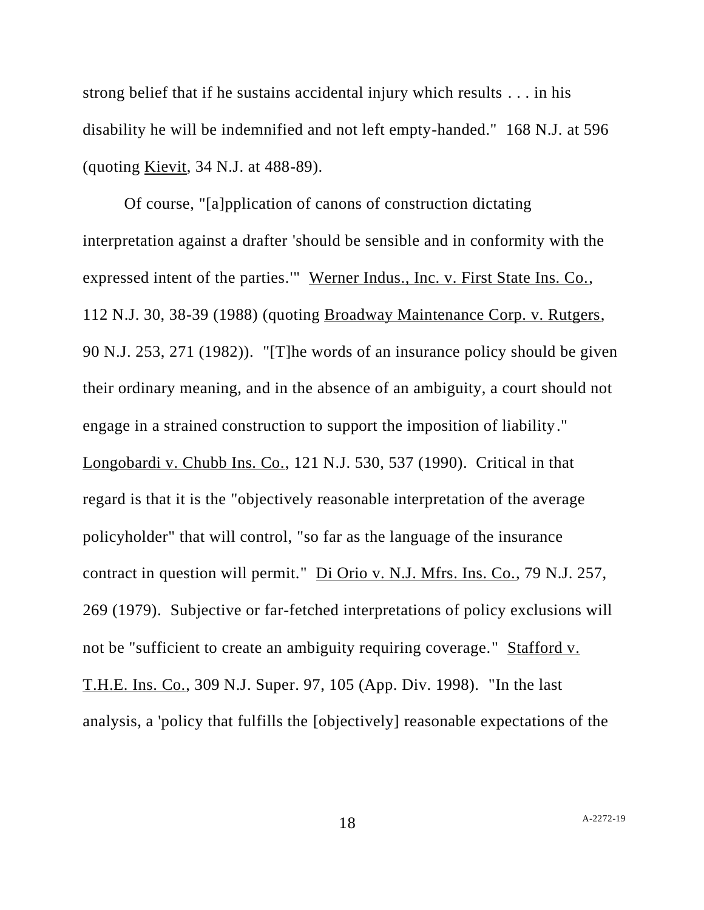strong belief that if he sustains accidental injury which results . . . in his disability he will be indemnified and not left empty-handed." 168 N.J. at 596 (quoting Kievit, 34 N.J. at 488-89).

Of course, "[a]pplication of canons of construction dictating interpretation against a drafter 'should be sensible and in conformity with the expressed intent of the parties.'" Werner Indus., Inc. v. First State Ins. Co., 112 N.J. 30, 38-39 (1988) (quoting Broadway Maintenance Corp. v. Rutgers, 90 N.J. 253, 271 (1982)). "[T]he words of an insurance policy should be given their ordinary meaning, and in the absence of an ambiguity, a court should not engage in a strained construction to support the imposition of liability." Longobardi v. Chubb Ins. Co., 121 N.J. 530, 537 (1990). Critical in that regard is that it is the "objectively reasonable interpretation of the average policyholder" that will control, "so far as the language of the insurance contract in question will permit." Di Orio v. N.J. Mfrs. Ins. Co., 79 N.J. 257, 269 (1979). Subjective or far-fetched interpretations of policy exclusions will not be "sufficient to create an ambiguity requiring coverage." Stafford v. T.H.E. Ins. Co., 309 N.J. Super. 97, 105 (App. Div. 1998). "In the last analysis, a 'policy that fulfills the [objectively] reasonable expectations of the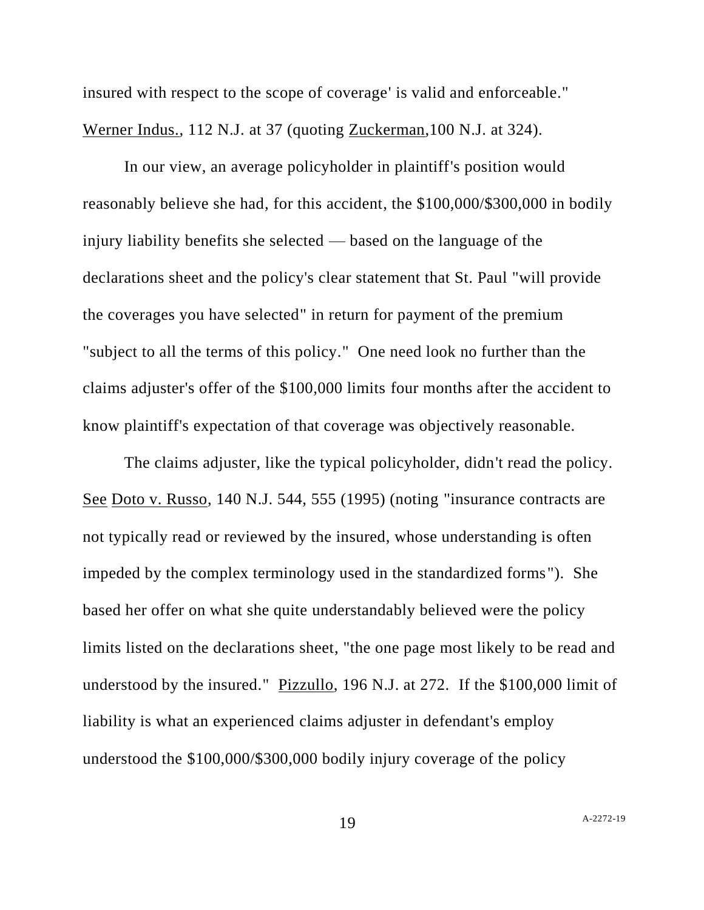insured with respect to the scope of coverage' is valid and enforceable." Werner Indus., 112 N.J. at 37 (quoting Zuckerman,100 N.J. at 324).

In our view, an average policyholder in plaintiff's position would reasonably believe she had, for this accident, the \$100,000/\$300,000 in bodily injury liability benefits she selected — based on the language of the declarations sheet and the policy's clear statement that St. Paul "will provide the coverages you have selected" in return for payment of the premium "subject to all the terms of this policy." One need look no further than the claims adjuster's offer of the \$100,000 limits four months after the accident to know plaintiff's expectation of that coverage was objectively reasonable.

The claims adjuster, like the typical policyholder, didn't read the policy. See Doto v. Russo, 140 N.J. 544, 555 (1995) (noting "insurance contracts are not typically read or reviewed by the insured, whose understanding is often impeded by the complex terminology used in the standardized forms"). She based her offer on what she quite understandably believed were the policy limits listed on the declarations sheet, "the one page most likely to be read and understood by the insured." Pizzullo, 196 N.J. at 272. If the \$100,000 limit of liability is what an experienced claims adjuster in defendant's employ understood the \$100,000/\$300,000 bodily injury coverage of the policy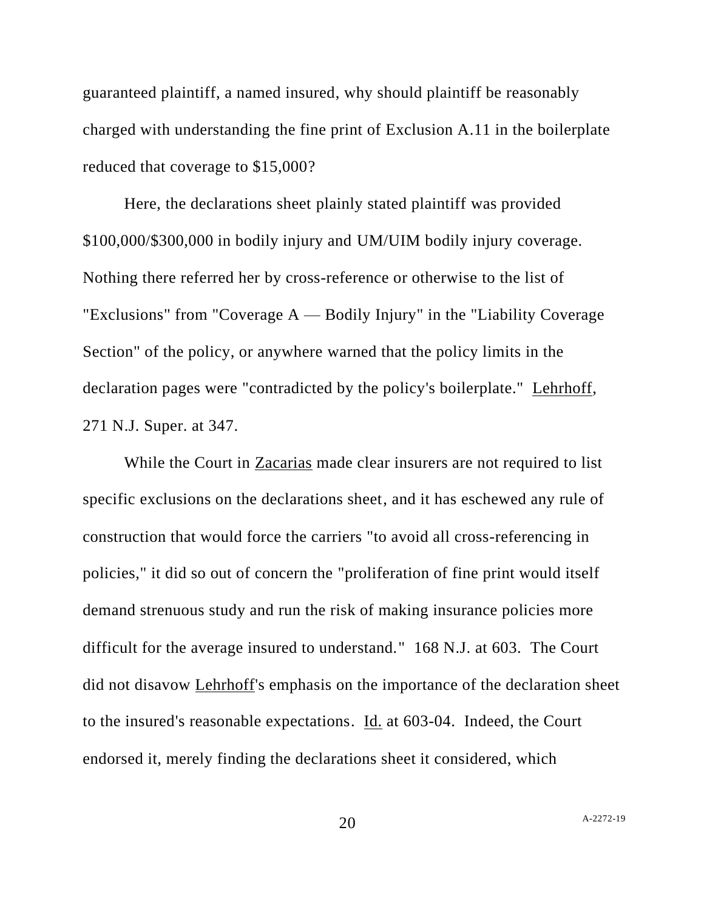guaranteed plaintiff, a named insured, why should plaintiff be reasonably charged with understanding the fine print of Exclusion A.11 in the boilerplate reduced that coverage to \$15,000?

Here, the declarations sheet plainly stated plaintiff was provided \$100,000/\$300,000 in bodily injury and UM/UIM bodily injury coverage. Nothing there referred her by cross-reference or otherwise to the list of "Exclusions" from "Coverage  $A$  — Bodily Injury" in the "Liability Coverage" Section" of the policy, or anywhere warned that the policy limits in the declaration pages were "contradicted by the policy's boilerplate." Lehrhoff, 271 N.J. Super. at 347.

While the Court in Zacarias made clear insurers are not required to list specific exclusions on the declarations sheet, and it has eschewed any rule of construction that would force the carriers "to avoid all cross-referencing in policies," it did so out of concern the "proliferation of fine print would itself demand strenuous study and run the risk of making insurance policies more difficult for the average insured to understand." 168 N.J. at 603. The Court did not disavow Lehrhoff's emphasis on the importance of the declaration sheet to the insured's reasonable expectations. Id. at 603-04. Indeed, the Court endorsed it, merely finding the declarations sheet it considered, which

 $20$  A[-2272-19](#page-0-0)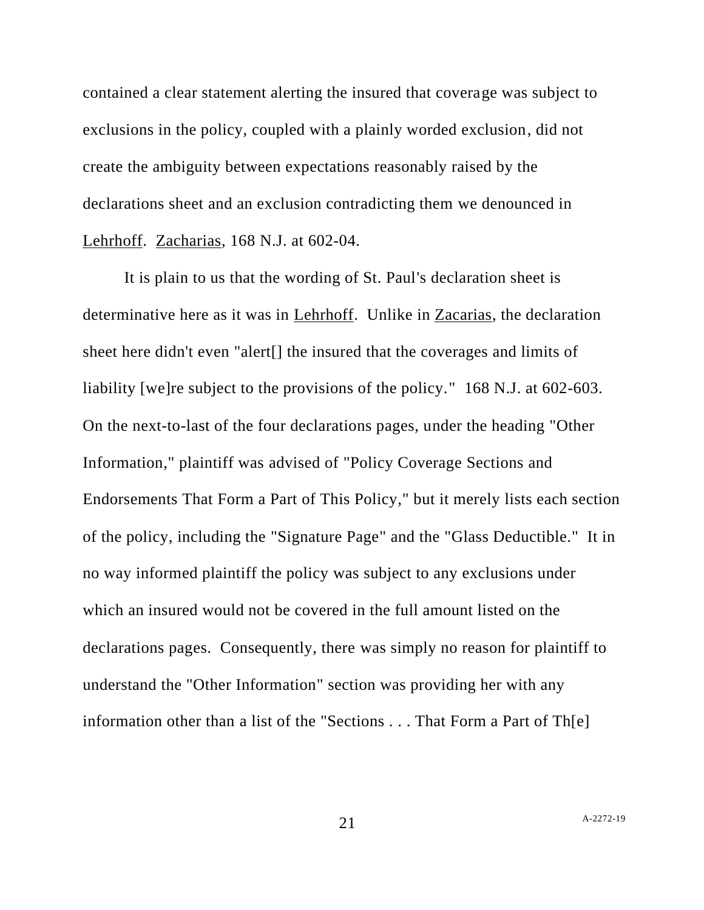contained a clear statement alerting the insured that coverage was subject to exclusions in the policy, coupled with a plainly worded exclusion, did not create the ambiguity between expectations reasonably raised by the declarations sheet and an exclusion contradicting them we denounced in Lehrhoff. Zacharias, 168 N.J. at 602-04.

It is plain to us that the wording of St. Paul's declaration sheet is determinative here as it was in Lehrhoff. Unlike in Zacarias, the declaration sheet here didn't even "alert[] the insured that the coverages and limits of liability [we]re subject to the provisions of the policy." 168 N.J. at 602-603. On the next-to-last of the four declarations pages, under the heading "Other Information," plaintiff was advised of "Policy Coverage Sections and Endorsements That Form a Part of This Policy," but it merely lists each section of the policy, including the "Signature Page" and the "Glass Deductible." It in no way informed plaintiff the policy was subject to any exclusions under which an insured would not be covered in the full amount listed on the declarations pages. Consequently, there was simply no reason for plaintiff to understand the "Other Information" section was providing her with any information other than a list of the "Sections . . . That Form a Part of Th[e]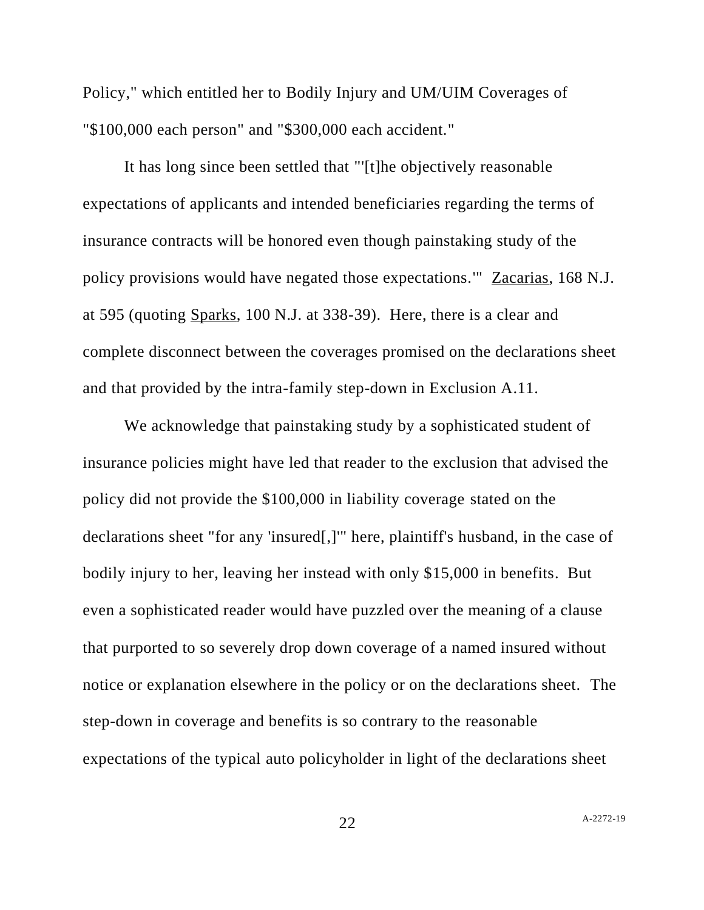Policy," which entitled her to Bodily Injury and UM/UIM Coverages of "\$100,000 each person" and "\$300,000 each accident."

It has long since been settled that "'[t]he objectively reasonable expectations of applicants and intended beneficiaries regarding the terms of insurance contracts will be honored even though painstaking study of the policy provisions would have negated those expectations.'" Zacarias, 168 N.J. at 595 (quoting Sparks, 100 N.J. at 338-39). Here, there is a clear and complete disconnect between the coverages promised on the declarations sheet and that provided by the intra-family step-down in Exclusion A.11.

We acknowledge that painstaking study by a sophisticated student of insurance policies might have led that reader to the exclusion that advised the policy did not provide the \$100,000 in liability coverage stated on the declarations sheet "for any 'insured[,]'" here, plaintiff's husband, in the case of bodily injury to her, leaving her instead with only \$15,000 in benefits. But even a sophisticated reader would have puzzled over the meaning of a clause that purported to so severely drop down coverage of a named insured without notice or explanation elsewhere in the policy or on the declarations sheet. The step-down in coverage and benefits is so contrary to the reasonable expectations of the typical auto policyholder in light of the declarations sheet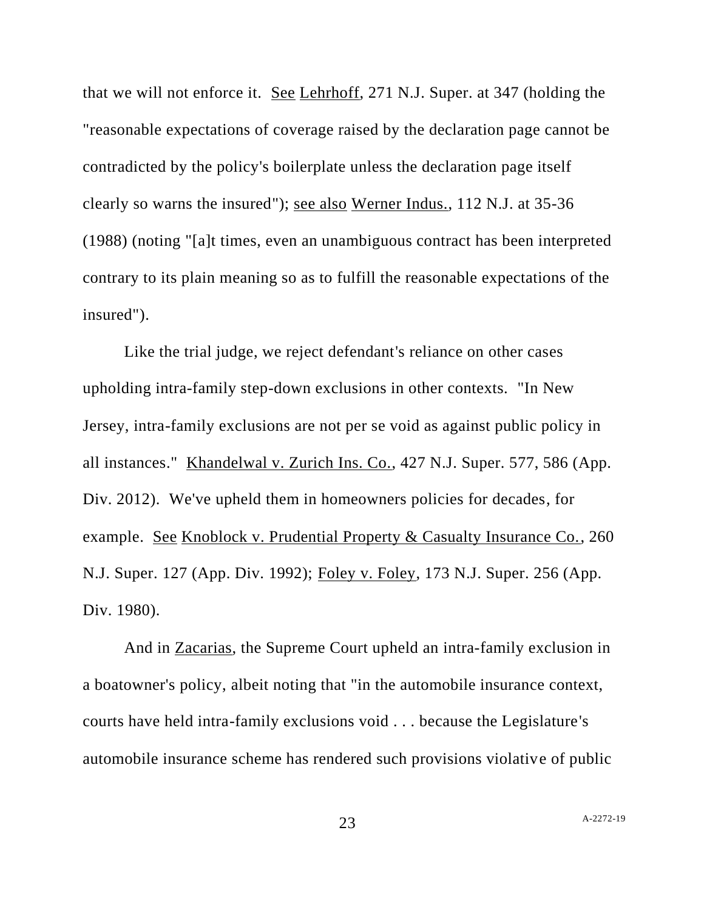that we will not enforce it. See Lehrhoff, 271 N.J. Super. at 347 (holding the "reasonable expectations of coverage raised by the declaration page cannot be contradicted by the policy's boilerplate unless the declaration page itself clearly so warns the insured"); see also Werner Indus., 112 N.J. at 35-36 (1988) (noting "[a]t times, even an unambiguous contract has been interpreted contrary to its plain meaning so as to fulfill the reasonable expectations of the insured").

Like the trial judge, we reject defendant's reliance on other cases upholding intra-family step-down exclusions in other contexts. "In New Jersey, intra-family exclusions are not per se void as against public policy in all instances." Khandelwal v. Zurich Ins. Co., 427 N.J. Super. 577, 586 (App. Div. 2012). We've upheld them in homeowners policies for decades, for example. See Knoblock v. Prudential Property & Casualty Insurance Co., 260 N.J. Super. 127 (App. Div. 1992); Foley v. Foley, 173 N.J. Super. 256 (App. Div. 1980).

And in Zacarias, the Supreme Court upheld an intra-family exclusion in a boatowner's policy, albeit noting that "in the automobile insurance context, courts have held intra-family exclusions void . . . because the Legislature's automobile insurance scheme has rendered such provisions violative of public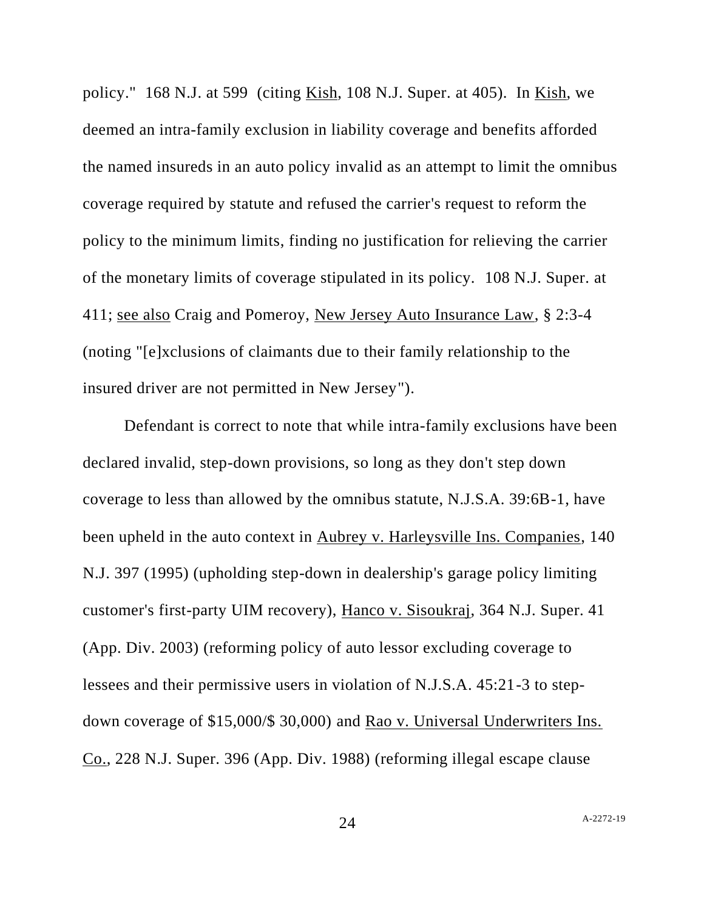policy." 168 N.J. at 599 (citing Kish, 108 N.J. Super. at 405). In Kish, we deemed an intra-family exclusion in liability coverage and benefits afforded the named insureds in an auto policy invalid as an attempt to limit the omnibus coverage required by statute and refused the carrier's request to reform the policy to the minimum limits, finding no justification for relieving the carrier of the monetary limits of coverage stipulated in its policy. 108 N.J. Super. at 411; see also Craig and Pomeroy, New Jersey Auto Insurance Law, § 2:3-4 (noting "[e]xclusions of claimants due to their family relationship to the insured driver are not permitted in New Jersey").

Defendant is correct to note that while intra-family exclusions have been declared invalid, step-down provisions, so long as they don't step down coverage to less than allowed by the omnibus statute, N.J.S.A. 39:6B-1, have been upheld in the auto context in Aubrey v. Harleysville Ins. Companies, 140 N.J. 397 (1995) (upholding step-down in dealership's garage policy limiting customer's first-party UIM recovery), Hanco v. Sisoukraj, 364 N.J. Super. 41 (App. Div. 2003) (reforming policy of auto lessor excluding coverage to lessees and their permissive users in violation of N.J.S.A. 45:21-3 to stepdown coverage of \$15,000/\$ 30,000) and Rao v. Universal Underwriters Ins. Co., 228 N.J. Super. 396 (App. Div. 1988) (reforming illegal escape clause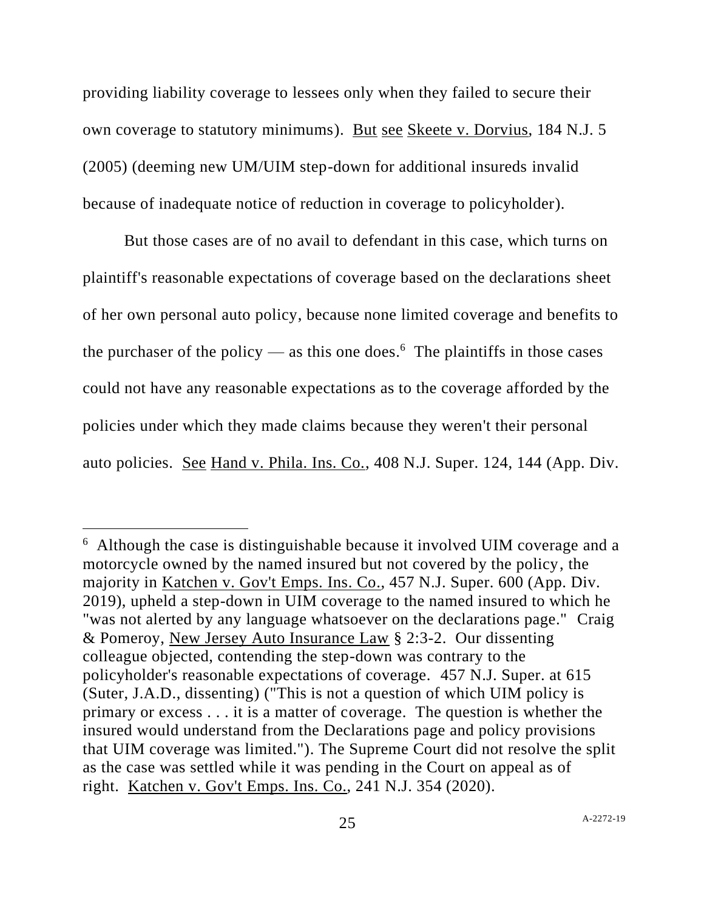providing liability coverage to lessees only when they failed to secure their own coverage to statutory minimums). But see Skeete v. Dorvius, 184 N.J. 5 (2005) (deeming new UM/UIM step-down for additional insureds invalid because of inadequate notice of reduction in coverage to policyholder).

But those cases are of no avail to defendant in this case, which turns on plaintiff's reasonable expectations of coverage based on the declarations sheet of her own personal auto policy, because none limited coverage and benefits to the purchaser of the policy — as this one does.<sup>6</sup> The plaintiffs in those cases could not have any reasonable expectations as to the coverage afforded by the policies under which they made claims because they weren't their personal auto policies. See Hand v. Phila. Ins. Co., 408 N.J. Super. 124, 144 (App. Div.

<sup>6</sup> Although the case is distinguishable because it involved UIM coverage and a motorcycle owned by the named insured but not covered by the policy, the majority in Katchen v. Gov't Emps. Ins. Co., 457 N.J. Super. 600 (App. Div. 2019), upheld a step-down in UIM coverage to the named insured to which he "was not alerted by any language whatsoever on the declarations page." Craig & Pomeroy, New Jersey Auto Insurance Law § 2:3-2. Our dissenting colleague objected, contending the step-down was contrary to the policyholder's reasonable expectations of coverage. 457 N.J. Super. at 615 (Suter, J.A.D., dissenting) ("This is not a question of which UIM policy is primary or excess . . . it is a matter of coverage. The question is whether the insured would understand from the Declarations page and policy provisions that UIM coverage was limited."). The Supreme Court did not resolve the split as the case was settled while it was pending in the Court on appeal as of right. Katchen v. Gov't Emps. Ins. Co., 241 N.J. 354 (2020).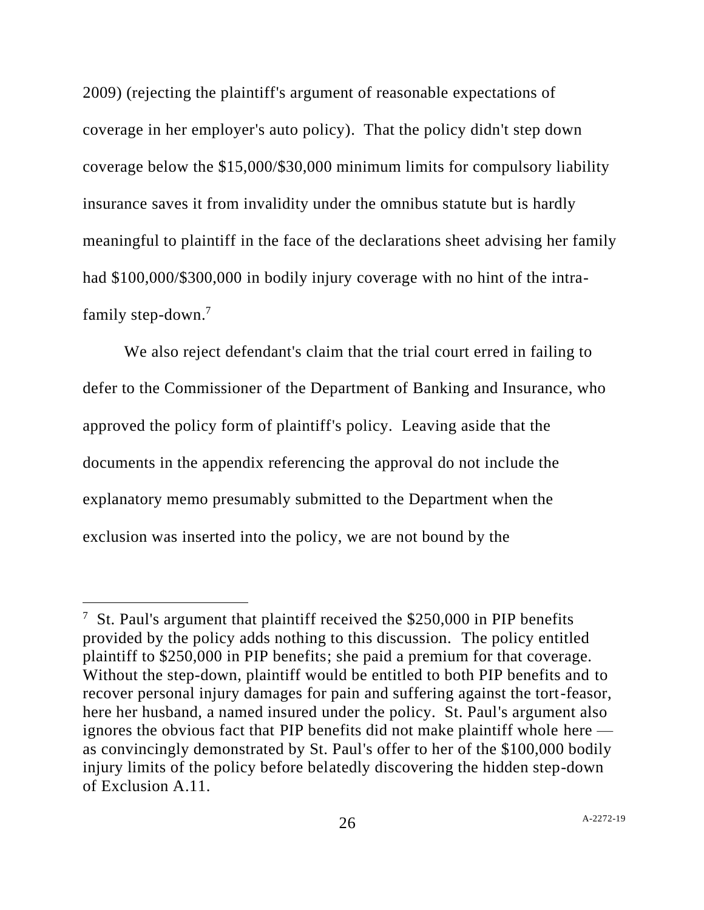2009) (rejecting the plaintiff's argument of reasonable expectations of coverage in her employer's auto policy). That the policy didn't step down coverage below the \$15,000/\$30,000 minimum limits for compulsory liability insurance saves it from invalidity under the omnibus statute but is hardly meaningful to plaintiff in the face of the declarations sheet advising her family had \$100,000/\$300,000 in bodily injury coverage with no hint of the intrafamily step-down.<sup>7</sup>

We also reject defendant's claim that the trial court erred in failing to defer to the Commissioner of the Department of Banking and Insurance, who approved the policy form of plaintiff's policy. Leaving aside that the documents in the appendix referencing the approval do not include the explanatory memo presumably submitted to the Department when the exclusion was inserted into the policy, we are not bound by the

<sup>&</sup>lt;sup>7</sup> St. Paul's argument that plaintiff received the \$250,000 in PIP benefits provided by the policy adds nothing to this discussion. The policy entitled plaintiff to \$250,000 in PIP benefits; she paid a premium for that coverage. Without the step-down, plaintiff would be entitled to both PIP benefits and to recover personal injury damages for pain and suffering against the tort-feasor, here her husband, a named insured under the policy. St. Paul's argument also ignores the obvious fact that PIP benefits did not make plaintiff whole here as convincingly demonstrated by St. Paul's offer to her of the \$100,000 bodily injury limits of the policy before belatedly discovering the hidden step-down of Exclusion A.11.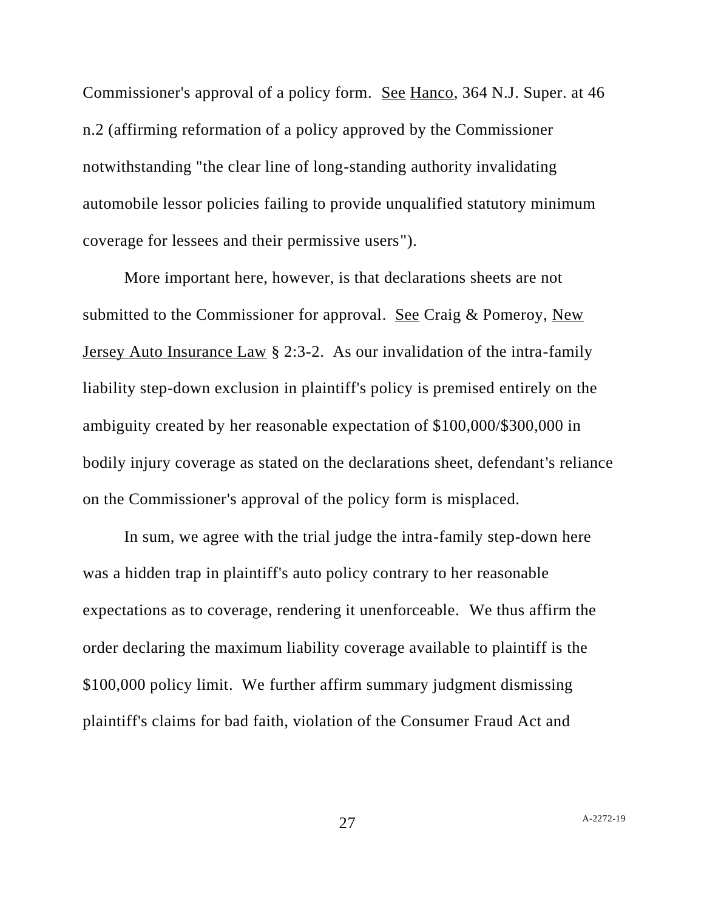Commissioner's approval of a policy form. See Hanco, 364 N.J. Super. at 46 n.2 (affirming reformation of a policy approved by the Commissioner notwithstanding "the clear line of long-standing authority invalidating automobile lessor policies failing to provide unqualified statutory minimum coverage for lessees and their permissive users").

More important here, however, is that declarations sheets are not submitted to the Commissioner for approval. See Craig & Pomeroy, New Jersey Auto Insurance Law § 2:3-2. As our invalidation of the intra-family liability step-down exclusion in plaintiff's policy is premised entirely on the ambiguity created by her reasonable expectation of \$100,000/\$300,000 in bodily injury coverage as stated on the declarations sheet, defendant's reliance on the Commissioner's approval of the policy form is misplaced.

In sum, we agree with the trial judge the intra-family step-down here was a hidden trap in plaintiff's auto policy contrary to her reasonable expectations as to coverage, rendering it unenforceable. We thus affirm the order declaring the maximum liability coverage available to plaintiff is the \$100,000 policy limit. We further affirm summary judgment dismissing plaintiff's claims for bad faith, violation of the Consumer Fraud Act and